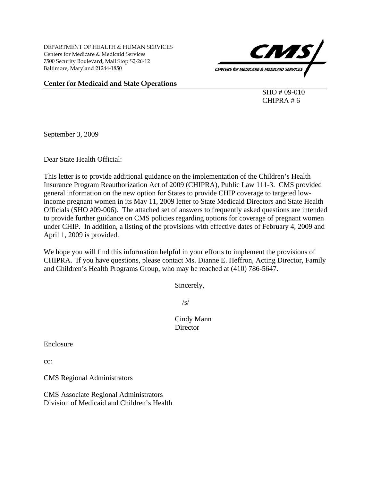DEPARTMENT OF HEALTH & HUMAN SERVICES Centers for Medicare & Medicaid Services 7500 Security Boulevard, Mail Stop S2-26-12 Baltimore, Maryland 21244-1850



#### **Center for Medicaid and State Operations**

 SHO # 09-010 CHIPRA # 6

September 3, 2009

Dear State Health Official:

This letter is to provide additional guidance on the implementation of the Children's Health Insurance Program Reauthorization Act of 2009 (CHIPRA), Public Law 111-3. CMS provided general information on the new option for States to provide CHIP coverage to targeted lowincome pregnant women in its May 11, 2009 letter to State Medicaid Directors and State Health Officials (SHO #09-006). The attached set of answers to frequently asked questions are intended to provide further guidance on CMS policies regarding options for coverage of pregnant women under CHIP. In addition, a listing of the provisions with effective dates of February 4, 2009 and April 1, 2009 is provided.

We hope you will find this information helpful in your efforts to implement the provisions of CHIPRA. If you have questions, please contact Ms. Dianne E. Heffron, Acting Director, Family and Children's Health Programs Group, who may be reached at (410) 786-5647.

Sincerely,

 $\sqrt{s/2}$ 

 Cindy Mann **Director** 

Enclosure

cc:

CMS Regional Administrators

CMS Associate Regional Administrators Division of Medicaid and Children's Health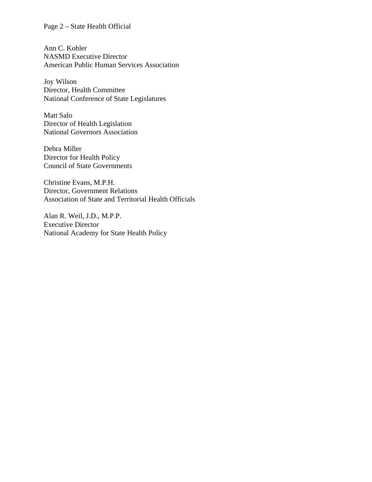## Page 2 – State Health Official

Ann C. Kohler NASMD Executive Director American Public Human Services Association

Joy Wilson Director, Health Committee National Conference of State Legislatures

Matt Salo Director of Health Legislation National Governors Association

Debra Miller Director for Health Policy Council of State Governments

Christine Evans, M.P.H. Director, Government Relations Association of State and Territorial Health Officials

Alan R. Weil, J.D., M.P.P. Executive Director National Academy for State Health Policy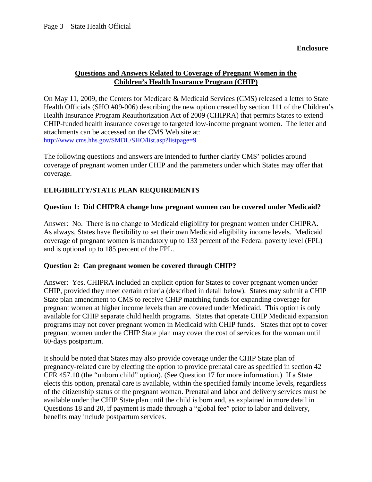**Enclosure** 

# **Questions and Answers Related to Coverage of Pregnant Women in the Children's Health Insurance Program (CHIP)**

On May 11, 2009, the Centers for Medicare & Medicaid Services (CMS) released a letter to State Health Officials (SHO #09-006) describing the new option created by section 111 of the Children's Health Insurance Program Reauthorization Act of 2009 (CHIPRA) that permits States to extend CHIP-funded health insurance coverage to targeted low-income pregnant women. The letter and attachments can be accessed on the CMS Web site at: <http://www.cms.hhs.gov/SMDL/SHO/list.asp?listpage=9>

The following questions and answers are intended to further clarify CMS' policies around coverage of pregnant women under CHIP and the parameters under which States may offer that coverage.

# **ELIGIBILITY/STATE PLAN REQUIREMENTS**

# **Question 1: Did CHIPRA change how pregnant women can be covered under Medicaid?**

Answer: No. There is no change to Medicaid eligibility for pregnant women under CHIPRA. As always, States have flexibility to set their own Medicaid eligibility income levels. Medicaid coverage of pregnant women is mandatory up to 133 percent of the Federal poverty level (FPL) and is optional up to 185 percent of the FPL.

## **Question 2: Can pregnant women be covered through CHIP?**

Answer: Yes. CHIPRA included an explicit option for States to cover pregnant women under CHIP, provided they meet certain criteria (described in detail below). States may submit a CHIP State plan amendment to CMS to receive CHIP matching funds for expanding coverage for pregnant women at higher income levels than are covered under Medicaid. This option is only available for CHIP separate child health programs. States that operate CHIP Medicaid expansion programs may not cover pregnant women in Medicaid with CHIP funds. States that opt to cover pregnant women under the CHIP State plan may cover the cost of services for the woman until 60-days postpartum.

It should be noted that States may also provide coverage under the CHIP State plan of pregnancy-related care by electing the option to provide prenatal care as specified in section 42 CFR 457.10 (the "unborn child" option). (See Question 17 for more information.) If a State elects this option, prenatal care is available, within the specified family income levels, regardless of the citizenship status of the pregnant woman. Prenatal and labor and delivery services must be available under the CHIP State plan until the child is born and, as explained in more detail in Questions 18 and 20, if payment is made through a "global fee" prior to labor and delivery, benefits may include postpartum services.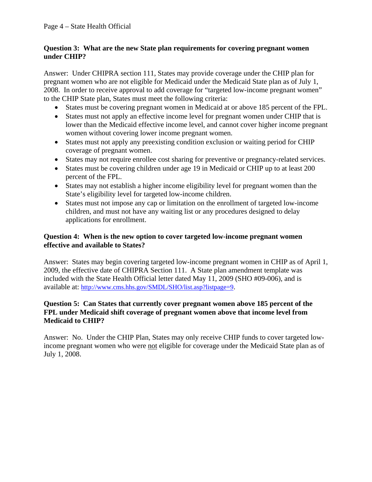## **Question 3: What are the new State plan requirements for covering pregnant women under CHIP?**

Answer: Under CHIPRA section 111, States may provide coverage under the CHIP plan for pregnant women who are not eligible for Medicaid under the Medicaid State plan as of July 1, 2008. In order to receive approval to add coverage for "targeted low-income pregnant women" to the CHIP State plan, States must meet the following criteria:

- States must be covering pregnant women in Medicaid at or above 185 percent of the FPL.
- States must not apply an effective income level for pregnant women under CHIP that is lower than the Medicaid effective income level, and cannot cover higher income pregnant women without covering lower income pregnant women.
- States must not apply any preexisting condition exclusion or waiting period for CHIP coverage of pregnant women.
- States may not require enrollee cost sharing for preventive or pregnancy-related services.
- States must be covering children under age 19 in Medicaid or CHIP up to at least 200 percent of the FPL.
- States may not establish a higher income eligibility level for pregnant women than the State's eligibility level for targeted low-income children.
- States must not impose any cap or limitation on the enrollment of targeted low-income children, and must not have any waiting list or any procedures designed to delay applications for enrollment.

## **Question 4: When is the new option to cover targeted low-income pregnant women effective and available to States?**

Answer: States may begin covering targeted low-income pregnant women in CHIP as of April 1, 2009, the effective date of CHIPRA Section 111. A State plan amendment template was included with the State Health Official letter dated May 11, 2009 (SHO #09-006), and is available at: [http://www.cms.hhs.gov/SMDL/SHO/list.asp?listpage=9.](http://www.cms.hhs.gov/SMDL/SHO/list.asp?listpage=9)

## **Question 5: Can States that currently cover pregnant women above 185 percent of the FPL under Medicaid shift coverage of pregnant women above that income level from Medicaid to CHIP?**

Answer: No. Under the CHIP Plan, States may only receive CHIP funds to cover targeted lowincome pregnant women who were not eligible for coverage under the Medicaid State plan as of July 1, 2008.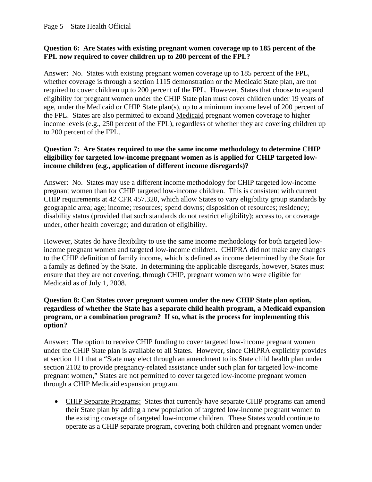## **Question 6: Are States with existing pregnant women coverage up to 185 percent of the FPL now required to cover children up to 200 percent of the FPL?**

Answer: No. States with existing pregnant women coverage up to 185 percent of the FPL, whether coverage is through a section 1115 demonstration or the Medicaid State plan, are not required to cover children up to 200 percent of the FPL. However, States that choose to expand eligibility for pregnant women under the CHIP State plan must cover children under 19 years of age, under the Medicaid or CHIP State plan(s), up to a minimum income level of 200 percent of the FPL. States are also permitted to expand Medicaid pregnant women coverage to higher income levels (e.g., 250 percent of the FPL), regardless of whether they are covering children up to 200 percent of the FPL.

### **Question 7: Are States required to use the same income methodology to determine CHIP eligibility for targeted low-income pregnant women as is applied for CHIP targeted lowincome children (e.g., application of different income disregards)?**

Answer: No. States may use a different income methodology for CHIP targeted low-income pregnant women than for CHIP targeted low-income children. This is consistent with current CHIP requirements at 42 CFR 457.320, which allow States to vary eligibility group standards by geographic area; age; income; resources; spend downs; disposition of resources; residency; disability status (provided that such standards do not restrict eligibility); access to, or coverage under, other health coverage; and duration of eligibility.

However, States do have flexibility to use the same income methodology for both targeted lowincome pregnant women and targeted low-income children. CHIPRA did not make any changes to the CHIP definition of family income, which is defined as income determined by the State for a family as defined by the State. In determining the applicable disregards, however, States must ensure that they are not covering, through CHIP, pregnant women who were eligible for Medicaid as of July 1, 2008.

## **Question 8: Can States cover pregnant women under the new CHIP State plan option, regardless of whether the State has a separate child health program, a Medicaid expansion program, or a combination program? If so, what is the process for implementing this option?**

Answer: The option to receive CHIP funding to cover targeted low-income pregnant women under the CHIP State plan is available to all States. However, since CHIPRA explicitly provides at section 111 that a "State may elect through an amendment to its State child health plan under section 2102 to provide pregnancy-related assistance under such plan for targeted low-income pregnant women," States are not permitted to cover targeted low-income pregnant women through a CHIP Medicaid expansion program.

• CHIP Separate Programs: States that currently have separate CHIP programs can amend their State plan by adding a new population of targeted low-income pregnant women to the existing coverage of targeted low-income children. These States would continue to operate as a CHIP separate program, covering both children and pregnant women under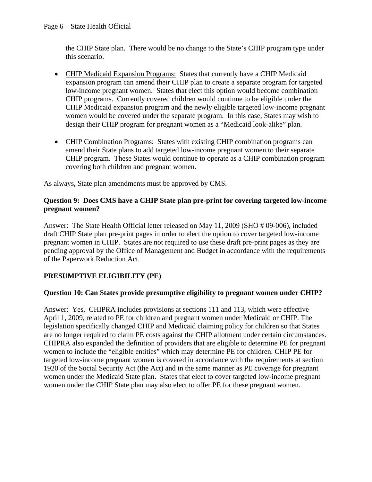the CHIP State plan. There would be no change to the State's CHIP program type under this scenario.

- CHIP Medicaid Expansion Programs: States that currently have a CHIP Medicaid expansion program can amend their CHIP plan to create a separate program for targeted low-income pregnant women. States that elect this option would become combination CHIP programs. Currently covered children would continue to be eligible under the CHIP Medicaid expansion program and the newly eligible targeted low-income pregnant women would be covered under the separate program. In this case, States may wish to design their CHIP program for pregnant women as a "Medicaid look-alike" plan.
- CHIP Combination Programs: States with existing CHIP combination programs can amend their State plans to add targeted low-income pregnant women to their separate CHIP program. These States would continue to operate as a CHIP combination program covering both children and pregnant women.

As always, State plan amendments must be approved by CMS.

## **Question 9: Does CMS have a CHIP State plan pre-print for covering targeted low-income pregnant women?**

Answer: The State Health Official letter released on May 11, 2009 (SHO # 09-006), included draft CHIP State plan pre-print pages in order to elect the option to cover targeted low-income pregnant women in CHIP. States are not required to use these draft pre-print pages as they are pending approval by the Office of Management and Budget in accordance with the requirements of the Paperwork Reduction Act.

# **PRESUMPTIVE ELIGIBILITY (PE)**

# **Question 10: Can States provide presumptive eligibility to pregnant women under CHIP?**

Answer: Yes. CHIPRA includes provisions at sections 111 and 113, which were effective April 1, 2009, related to PE for children and pregnant women under Medicaid or CHIP. The legislation specifically changed CHIP and Medicaid claiming policy for children so that States are no longer required to claim PE costs against the CHIP allotment under certain circumstances. CHIPRA also expanded the definition of providers that are eligible to determine PE for pregnant women to include the "eligible entities" which may determine PE for children. CHIP PE for targeted low-income pregnant women is covered in accordance with the requirements at section 1920 of the Social Security Act (the Act) and in the same manner as PE coverage for pregnant women under the Medicaid State plan. States that elect to cover targeted low-income pregnant women under the CHIP State plan may also elect to offer PE for these pregnant women.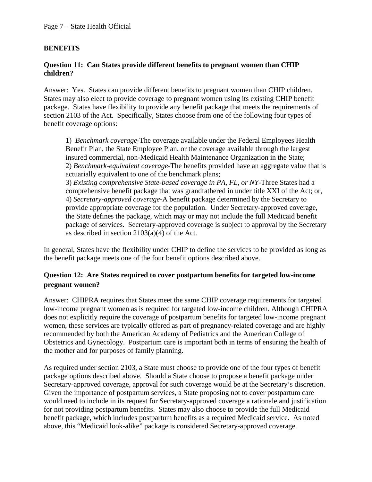#### Page 7 – State Health Official

## **BENEFITS**

#### **Question 11: Can States provide different benefits to pregnant women than CHIP children?**

Answer: Yes. States can provide different benefits to pregnant women than CHIP children. States may also elect to provide coverage to pregnant women using its existing CHIP benefit package. States have flexibility to provide any benefit package that meets the requirements of section 2103 of the Act. Specifically, States choose from one of the following four types of benefit coverage options:

1) *Benchmark coverage-*The coverage available under the Federal Employees Health Benefit Plan, the State Employee Plan, or the coverage available through the largest insured commercial, non-Medicaid Health Maintenance Organization in the State; 2) *Benchmark-equivalent coverage-*The benefits provided have an aggregate value that is actuarially equivalent to one of the benchmark plans; 3) *Existing comprehensive State-based coverage in PA, FL, or NY*-Three States had a comprehensive benefit package that was grandfathered in under title XXI of the Act; or, 4) *Secretary-approved coverage-*A benefit package determined by the Secretary to provide appropriate coverage for the population. Under Secretary-approved coverage, the State defines the package, which may or may not include the full Medicaid benefit package of services. Secretary-approved coverage is subject to approval by the Secretary as described in section 2103(a)(4) of the Act.

In general, States have the flexibility under CHIP to define the services to be provided as long as the benefit package meets one of the four benefit options described above.

# **Question 12: Are States required to cover postpartum benefits for targeted low-income pregnant women?**

Answer: CHIPRA requires that States meet the same CHIP coverage requirements for targeted low-income pregnant women as is required for targeted low-income children. Although CHIPRA does not explicitly require the coverage of postpartum benefits for targeted low-income pregnant women, these services are typically offered as part of pregnancy-related coverage and are highly recommended by both the American Academy of Pediatrics and the American College of Obstetrics and Gynecology. Postpartum care is important both in terms of ensuring the health of the mother and for purposes of family planning.

As required under section 2103, a State must choose to provide one of the four types of benefit package options described above. Should a State choose to propose a benefit package under Secretary-approved coverage, approval for such coverage would be at the Secretary's discretion. Given the importance of postpartum services, a State proposing not to cover postpartum care would need to include in its request for Secretary-approved coverage a rationale and justification for not providing postpartum benefits. States may also choose to provide the full Medicaid benefit package, which includes postpartum benefits as a required Medicaid service. As noted above, this "Medicaid look-alike" package is considered Secretary-approved coverage.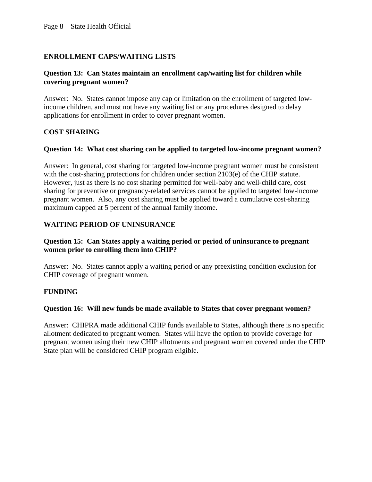## **ENROLLMENT CAPS/WAITING LISTS**

#### **Question 13: Can States maintain an enrollment cap/waiting list for children while covering pregnant women?**

Answer: No. States cannot impose any cap or limitation on the enrollment of targeted lowincome children, and must not have any waiting list or any procedures designed to delay applications for enrollment in order to cover pregnant women.

## **COST SHARING**

#### **Question 14: What cost sharing can be applied to targeted low-income pregnant women?**

Answer: In general, cost sharing for targeted low-income pregnant women must be consistent with the cost-sharing protections for children under section 2103(e) of the CHIP statute. However, just as there is no cost sharing permitted for well-baby and well-child care, cost sharing for preventive or pregnancy-related services cannot be applied to targeted low-income pregnant women. Also, any cost sharing must be applied toward a cumulative cost-sharing maximum capped at 5 percent of the annual family income.

## **WAITING PERIOD OF UNINSURANCE**

#### **Question 15: Can States apply a waiting period or period of uninsurance to pregnant women prior to enrolling them into CHIP?**

Answer: No. States cannot apply a waiting period or any preexisting condition exclusion for CHIP coverage of pregnant women.

## **FUNDING**

## **Question 16: Will new funds be made available to States that cover pregnant women?**

Answer: CHIPRA made additional CHIP funds available to States, although there is no specific allotment dedicated to pregnant women. States will have the option to provide coverage for pregnant women using their new CHIP allotments and pregnant women covered under the CHIP State plan will be considered CHIP program eligible.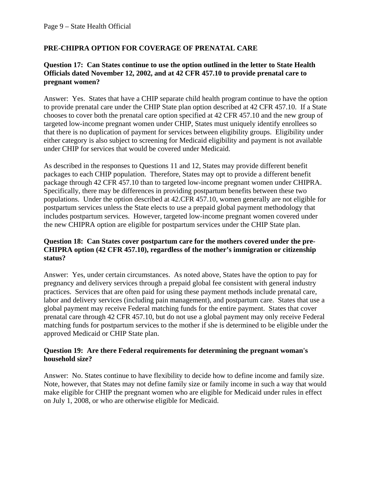# **PRE-CHIPRA OPTION FOR COVERAGE OF PRENATAL CARE**

#### **Question 17: Can States continue to use the option outlined in the letter to State Health Officials dated November 12, 2002, and at 42 CFR 457.10 to provide prenatal care to pregnant women?**

Answer: Yes. States that have a CHIP separate child health program continue to have the option to provide prenatal care under the CHIP State plan option described at 42 CFR 457.10. If a State chooses to cover both the prenatal care option specified at 42 CFR 457.10 and the new group of targeted low-income pregnant women under CHIP, States must uniquely identify enrollees so that there is no duplication of payment for services between eligibility groups. Eligibility under either category is also subject to screening for Medicaid eligibility and payment is not available under CHIP for services that would be covered under Medicaid.

As described in the responses to Questions 11 and 12, States may provide different benefit packages to each CHIP population. Therefore, States may opt to provide a different benefit package through 42 CFR 457.10 than to targeted low-income pregnant women under CHIPRA. Specifically, there may be differences in providing postpartum benefits between these two populations. Under the option described at 42.CFR 457.10, women generally are not eligible for postpartum services unless the State elects to use a prepaid global payment methodology that includes postpartum services. However, targeted low-income pregnant women covered under the new CHIPRA option are eligible for postpartum services under the CHIP State plan.

#### **Question 18: Can States cover postpartum care for the mothers covered under the pre-CHIPRA option (42 CFR 457.10), regardless of the mother's immigration or citizenship status?**

Answer: Yes, under certain circumstances. As noted above, States have the option to pay for pregnancy and delivery services through a prepaid global fee consistent with general industry practices. Services that are often paid for using these payment methods include prenatal care, labor and delivery services (including pain management), and postpartum care. States that use a global payment may receive Federal matching funds for the entire payment. States that cover prenatal care through 42 CFR 457.10, but do not use a global payment may only receive Federal matching funds for postpartum services to the mother if she is determined to be eligible under the approved Medicaid or CHIP State plan.

#### **Question 19: Are there Federal requirements for determining the pregnant woman's household size?**

Answer: No. States continue to have flexibility to decide how to define income and family size. Note, however, that States may not define family size or family income in such a way that would make eligible for CHIP the pregnant women who are eligible for Medicaid under rules in effect on July 1, 2008, or who are otherwise eligible for Medicaid.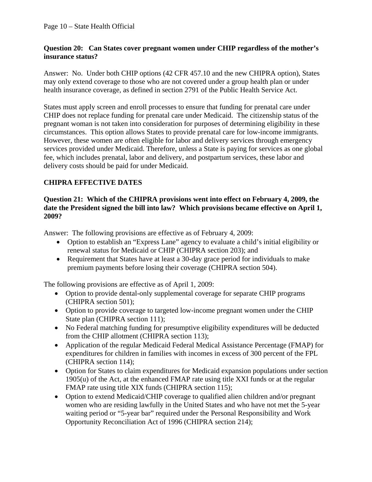## **Question 20: Can States cover pregnant women under CHIP regardless of the mother's insurance status?**

Answer: No. Under both CHIP options (42 CFR 457.10 and the new CHIPRA option), States may only extend coverage to those who are not covered under a group health plan or under health insurance coverage, as defined in section 2791 of the Public Health Service Act.

States must apply screen and enroll processes to ensure that funding for prenatal care under CHIP does not replace funding for prenatal care under Medicaid. The citizenship status of the pregnant woman is not taken into consideration for purposes of determining eligibility in these circumstances. This option allows States to provide prenatal care for low-income immigrants. However, these women are often eligible for labor and delivery services through emergency services provided under Medicaid. Therefore, unless a State is paying for services as one global fee, which includes prenatal, labor and delivery, and postpartum services, these labor and delivery costs should be paid for under Medicaid.

# **CHIPRA EFFECTIVE DATES**

#### **Question 21: Which of the CHIPRA provisions went into effect on February 4, 2009, the date the President signed the bill into law? Which provisions became effective on April 1, 2009?**

Answer: The following provisions are effective as of February 4, 2009:

- Option to establish an "Express Lane" agency to evaluate a child's initial eligibility or renewal status for Medicaid or CHIP (CHIPRA section 203); and
- Requirement that States have at least a 30-day grace period for individuals to make premium payments before losing their coverage (CHIPRA section 504).

The following provisions are effective as of April 1, 2009:

- Option to provide dental-only supplemental coverage for separate CHIP programs (CHIPRA section 501);
- Option to provide coverage to targeted low-income pregnant women under the CHIP State plan (CHIPRA section 111);
- No Federal matching funding for presumptive eligibility expenditures will be deducted from the CHIP allotment (CHIPRA section 113);
- Application of the regular Medicaid Federal Medical Assistance Percentage (FMAP) for expenditures for children in families with incomes in excess of 300 percent of the FPL (CHIPRA section 114);
- Option for States to claim expenditures for Medicaid expansion populations under section 1905(u) of the Act, at the enhanced FMAP rate using title XXI funds or at the regular FMAP rate using title XIX funds (CHIPRA section 115);
- Option to extend Medicaid/CHIP coverage to qualified alien children and/or pregnant women who are residing lawfully in the United States and who have not met the 5-year waiting period or "5-year bar" required under the Personal Responsibility and Work Opportunity Reconciliation Act of 1996 (CHIPRA section 214);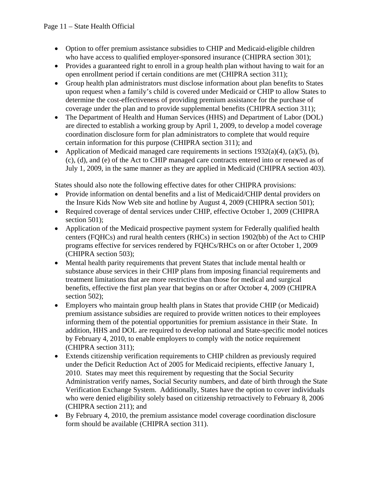- Option to offer premium assistance subsidies to CHIP and Medicaid-eligible children who have access to qualified employer-sponsored insurance (CHIPRA section 301);
- Provides a guaranteed right to enroll in a group health plan without having to wait for an open enrollment period if certain conditions are met (CHIPRA section 311);
- Group health plan administrators must disclose information about plan benefits to States upon request when a family's child is covered under Medicaid or CHIP to allow States to determine the cost-effectiveness of providing premium assistance for the purchase of coverage under the plan and to provide supplemental benefits (CHIPRA section 311);
- The Department of Health and Human Services (HHS) and Department of Labor (DOL) are directed to establish a working group by April 1, 2009, to develop a model coverage coordination disclosure form for plan administrators to complete that would require certain information for this purpose (CHIPRA section 311); and
- Application of Medicaid managed care requirements in sections  $1932(a)(4)$ ,  $(a)(5)$ ,  $(b)$ , (c), (d), and (e) of the Act to CHIP managed care contracts entered into or renewed as of July 1, 2009, in the same manner as they are applied in Medicaid (CHIPRA section 403).

States should also note the following effective dates for other CHIPRA provisions:

- Provide information on dental benefits and a list of Medicaid/CHIP dental providers on the Insure Kids Now Web site and hotline by August 4, 2009 (CHIPRA section 501);
- Required coverage of dental services under CHIP, effective October 1, 2009 (CHIPRA section 501);
- Application of the Medicaid prospective payment system for Federally qualified health centers (FQHCs) and rural health centers (RHCs) in section 1902(bb) of the Act to CHIP programs effective for services rendered by FQHCs/RHCs on or after October 1, 2009 (CHIPRA section 503);
- Mental health parity requirements that prevent States that include mental health or substance abuse services in their CHIP plans from imposing financial requirements and treatment limitations that are more restrictive than those for medical and surgical benefits, effective the first plan year that begins on or after October 4, 2009 (CHIPRA section 502);
- Employers who maintain group health plans in States that provide CHIP (or Medicaid) premium assistance subsidies are required to provide written notices to their employees informing them of the potential opportunities for premium assistance in their State. In addition, HHS and DOL are required to develop national and State-specific model notices by February 4, 2010, to enable employers to comply with the notice requirement (CHIPRA section 311);
- Extends citizenship verification requirements to CHIP children as previously required under the Deficit Reduction Act of 2005 for Medicaid recipients, effective January 1, 2010. States may meet this requirement by requesting that the Social Security Administration verify names, Social Security numbers, and date of birth through the State Verification Exchange System. Additionally, States have the option to cover individuals who were denied eligibility solely based on citizenship retroactively to February 8, 2006 (CHIPRA section 211); and
- By February 4, 2010, the premium assistance model coverage coordination disclosure form should be available (CHIPRA section 311).